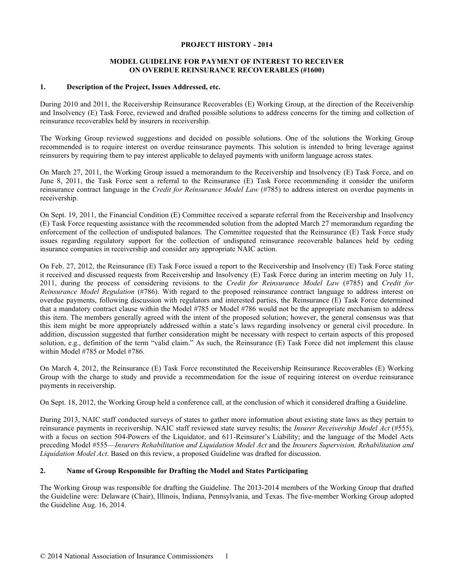#### **PROJECT HISTORY - 2014**

## **MODEL GUIDELINE FOR PAYMENT OF INTEREST TO RECEIVER ON OVERDUE REINSURANCE RECOVERABLES (#1600)**

## **1. Description of the Project, Issues Addressed, etc.**

During 2010 and 2011, the Receivership Reinsurance Recoverables (E) Working Group, at the direction of the Receivership and Insolvency (E) Task Force, reviewed and drafted possible solutions to address concerns for the timing and collection of reinsurance recoverables held by insurers in receivership.

The Working Group reviewed suggestions and decided on possible solutions. One of the solutions the Working Group recommended is to require interest on overdue reinsurance payments. This solution is intended to bring leverage against reinsurers by requiring them to pay interest applicable to delayed payments with uniform language across states.

On March 27, 2011, the Working Group issued a memorandum to the Receivership and Insolvency (E) Task Force, and on June 8, 2011, the Task Force sent a referral to the Reinsurance (E) Task Force recommending it consider the uniform reinsurance contract language in the *Credit for Reinsurance Model Law* (#785) to address interest on overdue payments in receivership.

On Sept. 19, 2011, the Financial Condition (E) Committee received a separate referral from the Receivership and Insolvency (E) Task Force requesting assistance with the recommended solution from the adopted March 27 memorandum regarding the enforcement of the collection of undisputed balances. The Committee requested that the Reinsurance (E) Task Force study issues regarding regulatory support for the collection of undisputed reinsurance recoverable balances held by ceding insurance companies in receivership and consider any appropriate NAIC action.

On Feb. 27, 2012, the Reinsurance (E) Task Force issued a report to the Receivership and Insolvency (E) Task Force stating it received and discussed requests from Receivership and Insolvency (E) Task Force during an interim meeting on July 11, 2011, during the process of considering revisions to the *Credit for Reinsurance Model Law* (#785) and *Credit for Reinsurance Model Regulation* (#786). With regard to the proposed reinsurance contract language to address interest on overdue payments, following discussion with regulators and interested parties, the Reinsurance (E) Task Force determined that a mandatory contract clause within the Model #785 or Model #786 would not be the appropriate mechanism to address this item. The members generally agreed with the intent of the proposed solution; however, the general consensus was that this item might be more appropriately addressed within a state's laws regarding insolvency or general civil procedure. In addition, discussion suggested that further consideration might be necessary with respect to certain aspects of this proposed solution, e.g., definition of the term "valid claim." As such, the Reinsurance (E) Task Force did not implement this clause within Model #785 or Model #786.

On March 4, 2012, the Reinsurance (E) Task Force reconstituted the Receivership Reinsurance Recoverables (E) Working Group with the charge to study and provide a recommendation for the issue of requiring interest on overdue reinsurance payments in receivership.

On Sept. 18, 2012, the Working Group held a conference call, at the conclusion of which it considered drafting a Guideline.

During 2013, NAIC staff conducted surveys of states to gather more information about existing state laws as they pertain to reinsurance payments in receivership. NAIC staff reviewed state survey results; the *Insurer Receivership Model Act* (#555), with a focus on section 504-Powers of the Liquidator, and 611-Reinsurer's Liability; and the language of the Model Acts preceding Model #555—*Insurers Rehabilitation and Liquidation Model Act* and the *Insurers Supervision, Rehabilitation and Liquidation Model Act*. Based on this review, a proposed Guideline was drafted for discussion.

# **2. Name of Group Responsible for Drafting the Model and States Participating**

The Working Group was responsible for drafting the Guideline. The 2013-2014 members of the Working Group that drafted the Guideline were: Delaware (Chair), Illinois, Indiana, Pennsylvania, and Texas. The five-member Working Group adopted the Guideline Aug. 16, 2014.